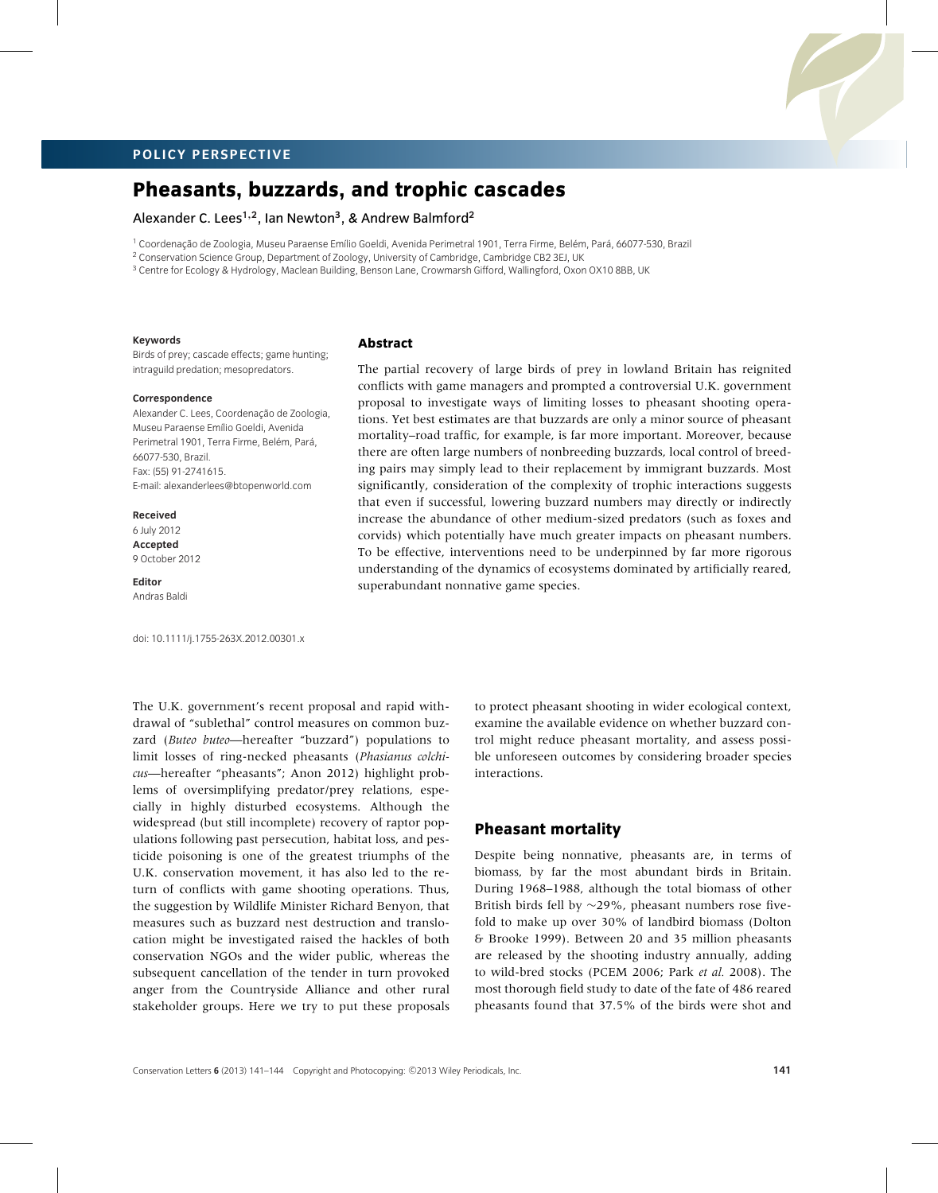### **POLICY PERSPECTIVE**

# **Pheasants, buzzards, and trophic cascades**

Alexander C. Lees**1***,***2**, Ian Newton**3**, & Andrew Balmford**<sup>2</sup>**

<sup>1</sup> Coordenação de Zoologia, Museu Paraense Emílio Goeldi, Avenida Perimetral 1901, Terra Firme, Belém, Pará, 66077-530, Brazil

<sup>2</sup> Conservation Science Group, Department of Zoology, University of Cambridge, Cambridge CB2 3EJ, UK

<sup>3</sup> Centre for Ecology & Hydrology, Maclean Building, Benson Lane, Crowmarsh Gifford, Wallingford, Oxon OX10 8BB, UK

#### **Keywords**

Birds of prey; cascade effects; game hunting; intraguild predation; mesopredators.

#### **Correspondence**

Alexander C. Lees, Coordenação de Zoologia, Museu Paraense Emílio Goeldi, Avenida Perimetral 1901, Terra Firme, Belém, Pará, 66077-530, Brazil. Fax: (55) 91-2741615. E-mail: alexanderlees@btopenworld.com

**Received** 6 July 2012 **Accepted** 9 October 2012

**Editor** Andras Baldi

doi: 10.1111/j.1755-263X.2012.00301.x

#### **Abstract**

The partial recovery of large birds of prey in lowland Britain has reignited conflicts with game managers and prompted a controversial U.K. government proposal to investigate ways of limiting losses to pheasant shooting operations. Yet best estimates are that buzzards are only a minor source of pheasant mortality–road traffic, for example, is far more important. Moreover, because there are often large numbers of nonbreeding buzzards, local control of breeding pairs may simply lead to their replacement by immigrant buzzards. Most significantly, consideration of the complexity of trophic interactions suggests that even if successful, lowering buzzard numbers may directly or indirectly increase the abundance of other medium-sized predators (such as foxes and corvids) which potentially have much greater impacts on pheasant numbers. To be effective, interventions need to be underpinned by far more rigorous understanding of the dynamics of ecosystems dominated by artificially reared, superabundant nonnative game species.

The U.K. government's recent proposal and rapid withdrawal of "sublethal" control measures on common buzzard (*Buteo buteo*—hereafter "buzzard") populations to limit losses of ring-necked pheasants (*Phasianus colchicus*—hereafter "pheasants"; Anon 2012) highlight problems of oversimplifying predator/prey relations, especially in highly disturbed ecosystems. Although the widespread (but still incomplete) recovery of raptor populations following past persecution, habitat loss, and pesticide poisoning is one of the greatest triumphs of the U.K. conservation movement, it has also led to the return of conflicts with game shooting operations. Thus, the suggestion by Wildlife Minister Richard Benyon, that measures such as buzzard nest destruction and translocation might be investigated raised the hackles of both conservation NGOs and the wider public, whereas the subsequent cancellation of the tender in turn provoked anger from the Countryside Alliance and other rural stakeholder groups. Here we try to put these proposals

to protect pheasant shooting in wider ecological context, examine the available evidence on whether buzzard control might reduce pheasant mortality, and assess possible unforeseen outcomes by considering broader species interactions.

### **Pheasant mortality**

Despite being nonnative, pheasants are, in terms of biomass, by far the most abundant birds in Britain. During 1968–1988, although the total biomass of other British birds fell by ∼29%, pheasant numbers rose fivefold to make up over 30% of landbird biomass (Dolton & Brooke 1999). Between 20 and 35 million pheasants are released by the shooting industry annually, adding to wild-bred stocks (PCEM 2006; Park *et al.* 2008). The most thorough field study to date of the fate of 486 reared pheasants found that 37.5% of the birds were shot and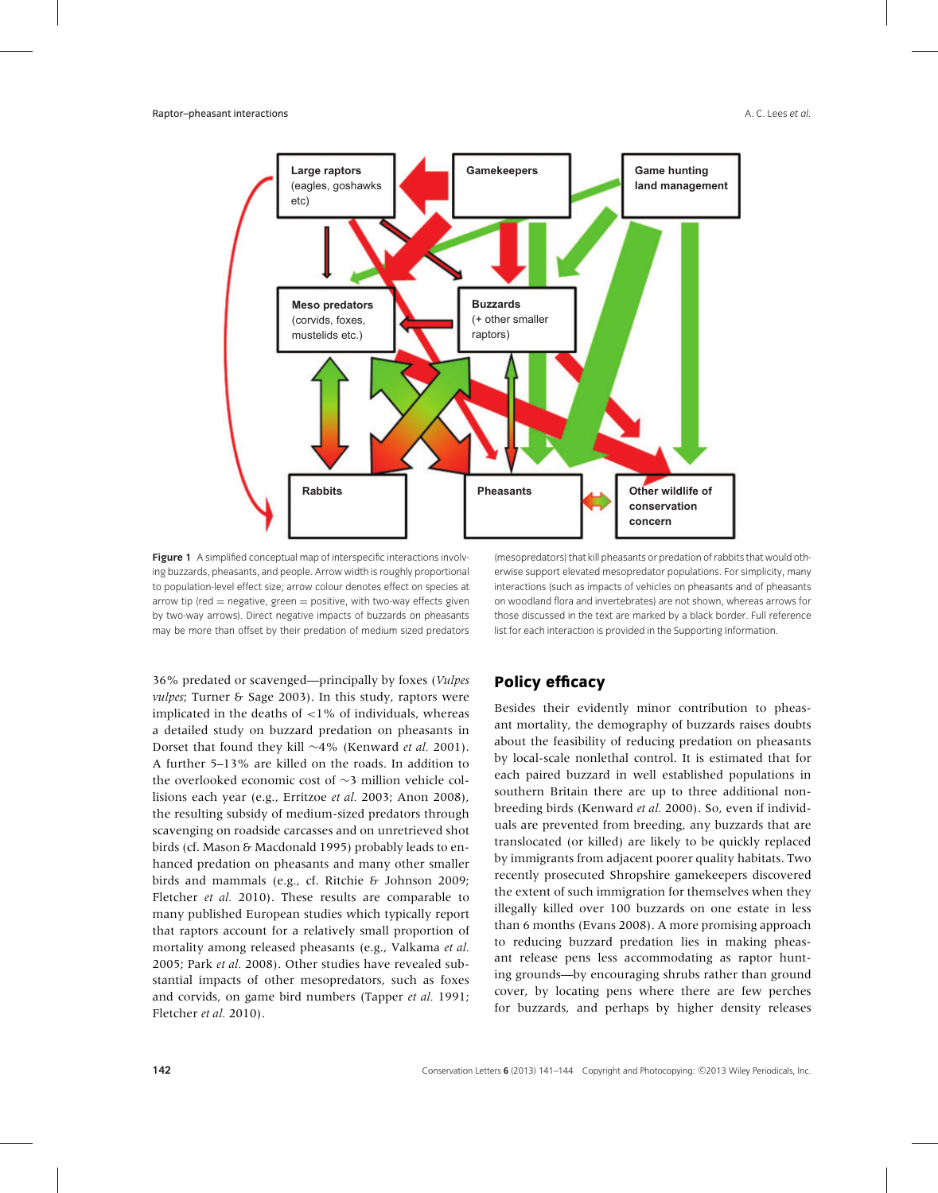

Figure 1 A simplified conceptual map of interspecific interactions involving buzzards, pheasants, and people. Arrow width is roughly proportional to population-level effect size; arrow colour denotes effect on species at arrow tip (red  $=$  negative, green  $=$  positive, with two-way effects given by two-way arrows). Direct negative impacts of buzzards on pheasants may be more than offset by their predation of medium sized predators

(mesopredators) that kill pheasants or predation of rabbits that would otherwise support elevated mesopredator populations. For simplicity, many interactions (such as impacts of vehicles on pheasants and of pheasants on woodland flora and invertebrates) are not shown, whereas arrows for those discussed in the text are marked by a black border. Full reference list for each interaction is provided in the Supporting Information.

36% predated or scavenged—principally by foxes (*Vulpes vulpes*; Turner & Sage 2003). In this study, raptors were implicated in the deaths of *<*1% of individuals, whereas a detailed study on buzzard predation on pheasants in Dorset that found they kill ∼4% (Kenward *et al.* 2001). A further 5–13% are killed on the roads. In addition to the overlooked economic cost of ∼3 million vehicle collisions each year (e.g., Erritzoe *et al.* 2003; Anon 2008), the resulting subsidy of medium-sized predators through scavenging on roadside carcasses and on unretrieved shot birds (cf. Mason & Macdonald 1995) probably leads to enhanced predation on pheasants and many other smaller birds and mammals (e.g., cf. Ritchie & Johnson 2009; Fletcher *et al.* 2010). These results are comparable to many published European studies which typically report that raptors account for a relatively small proportion of mortality among released pheasants (e.g., Valkama *et al.* 2005; Park *et al.* 2008). Other studies have revealed substantial impacts of other mesopredators, such as foxes and corvids, on game bird numbers (Tapper *et al.* 1991; Fletcher *et al.* 2010).

# **Policy efficacy**

Besides their evidently minor contribution to pheasant mortality, the demography of buzzards raises doubts about the feasibility of reducing predation on pheasants by local-scale nonlethal control. It is estimated that for each paired buzzard in well established populations in southern Britain there are up to three additional nonbreeding birds (Kenward *et al.* 2000). So, even if individuals are prevented from breeding, any buzzards that are translocated (or killed) are likely to be quickly replaced by immigrants from adjacent poorer quality habitats. Two recently prosecuted Shropshire gamekeepers discovered the extent of such immigration for themselves when they illegally killed over 100 buzzards on one estate in less than 6 months (Evans 2008). A more promising approach to reducing buzzard predation lies in making pheasant release pens less accommodating as raptor hunting grounds—by encouraging shrubs rather than ground cover, by locating pens where there are few perches for buzzards, and perhaps by higher density releases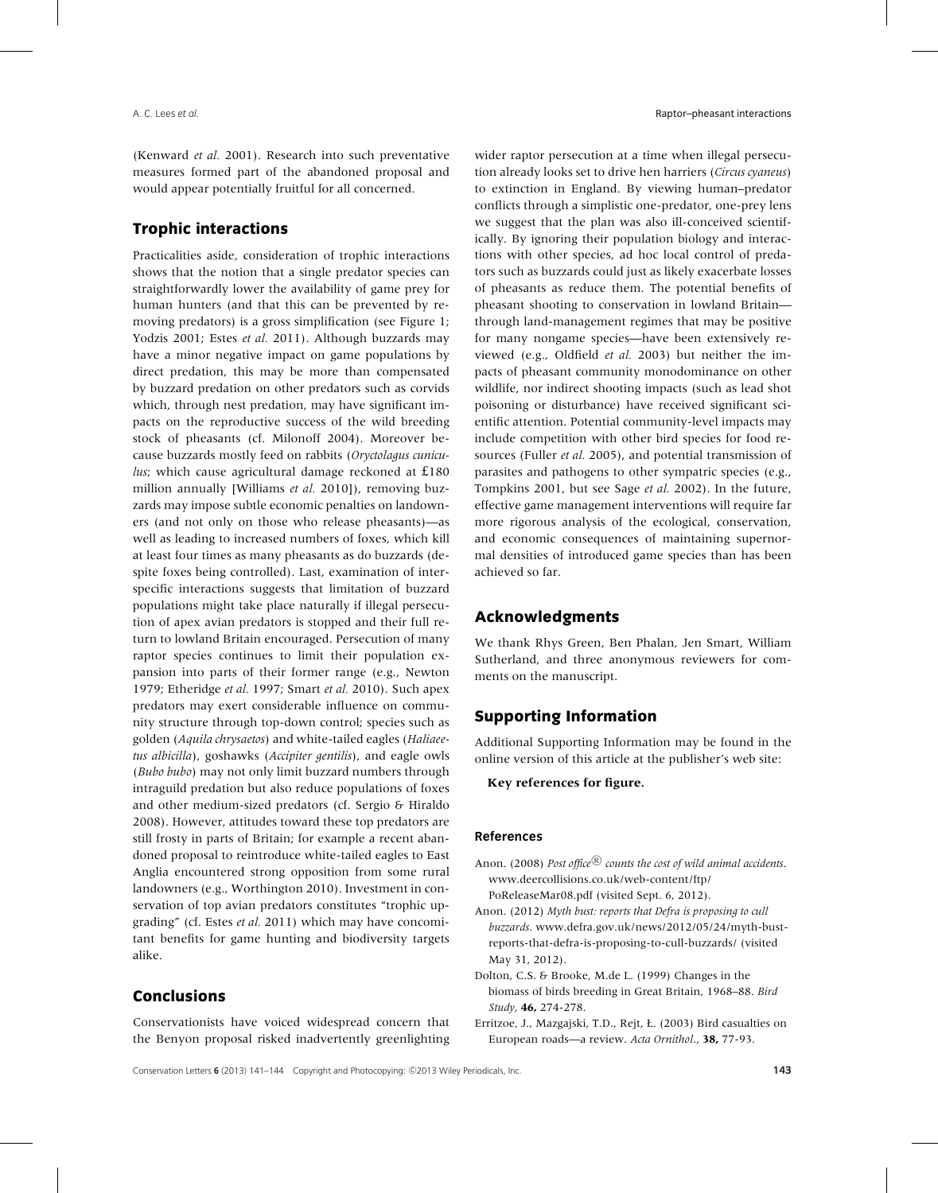(Kenward *et al.* 2001). Research into such preventative measures formed part of the abandoned proposal and would appear potentially fruitful for all concerned.

### **Trophic interactions**

Practicalities aside, consideration of trophic interactions shows that the notion that a single predator species can straightforwardly lower the availability of game prey for human hunters (and that this can be prevented by removing predators) is a gross simplification (see Figure 1; Yodzis 2001; Estes *et al.* 2011). Although buzzards may have a minor negative impact on game populations by direct predation, this may be more than compensated by buzzard predation on other predators such as corvids which, through nest predation, may have significant impacts on the reproductive success of the wild breeding stock of pheasants (cf. Milonoff 2004). Moreover because buzzards mostly feed on rabbits (*Oryctolagus cuniculus*; which cause agricultural damage reckoned at £180 million annually [Williams *et al.* 2010]), removing buzzards may impose subtle economic penalties on landowners (and not only on those who release pheasants)—as well as leading to increased numbers of foxes, which kill at least four times as many pheasants as do buzzards (despite foxes being controlled). Last, examination of interspecific interactions suggests that limitation of buzzard populations might take place naturally if illegal persecution of apex avian predators is stopped and their full return to lowland Britain encouraged. Persecution of many raptor species continues to limit their population expansion into parts of their former range (e.g., Newton 1979; Etheridge *et al.* 1997; Smart *et al.* 2010). Such apex predators may exert considerable influence on community structure through top-down control; species such as golden (*Aquila chrysaetos*) and white-tailed eagles (*Haliaeetus albicilla*), goshawks (*Accipiter gentilis*), and eagle owls (*Bubo bubo*) may not only limit buzzard numbers through intraguild predation but also reduce populations of foxes and other medium-sized predators (cf. Sergio & Hiraldo 2008). However, attitudes toward these top predators are still frosty in parts of Britain; for example a recent abandoned proposal to reintroduce white-tailed eagles to East Anglia encountered strong opposition from some rural landowners (e.g., Worthington 2010). Investment in conservation of top avian predators constitutes "trophic upgrading" (cf. Estes *et al.* 2011) which may have concomitant benefits for game hunting and biodiversity targets alike.

# **Conclusions**

Conservationists have voiced widespread concern that the Benyon proposal risked inadvertently greenlighting

wider raptor persecution at a time when illegal persecution already looks set to drive hen harriers (*Circus cyaneus*) to extinction in England. By viewing human–predator conflicts through a simplistic one-predator, one-prey lens we suggest that the plan was also ill-conceived scientifically. By ignoring their population biology and interactions with other species, ad hoc local control of predators such as buzzards could just as likely exacerbate losses of pheasants as reduce them. The potential benefits of pheasant shooting to conservation in lowland Britain through land-management regimes that may be positive for many nongame species—have been extensively reviewed (e.g., Oldfield *et al.* 2003) but neither the impacts of pheasant community monodominance on other wildlife, nor indirect shooting impacts (such as lead shot poisoning or disturbance) have received significant scientific attention. Potential community-level impacts may include competition with other bird species for food resources (Fuller *et al.* 2005), and potential transmission of parasites and pathogens to other sympatric species (e.g., Tompkins 2001, but see Sage *et al.* 2002). In the future, effective game management interventions will require far more rigorous analysis of the ecological, conservation, and economic consequences of maintaining supernormal densities of introduced game species than has been achieved so far.

## **Acknowledgments**

We thank Rhys Green, Ben Phalan, Jen Smart, William Sutherland, and three anonymous reviewers for comments on the manuscript.

# **Supporting Information**

Additional Supporting Information may be found in the online version of this article at the publisher's web site:

#### **Key references for figure.**

#### **References**

- Anon. (2008) *Post office<sup>®</sup> counts the cost of wild animal accidents*. www.deercollisions.co.uk/web-content/ftp/ PoReleaseMar08.pdf (visited Sept. 6, 2012).
- Anon. (2012) *Myth bust: reports that Defra is proposing to cull buzzards*. www.defra.gov.uk/news/2012/05/24/myth-bustreports-that-defra-is-proposing-to-cull-buzzards/ (visited May 31, 2012).
- Dolton, C.S. & Brooke, M.de L. (1999) Changes in the biomass of birds breeding in Great Britain, 1968–88. *Bird Study*, **46,** 274-278.
- Erritzoe, J., Mazgajski, T.D., Rejt, Ł. (2003) Bird casualties on European roads—a review. *Acta Ornithol*., **38,** 77-93.